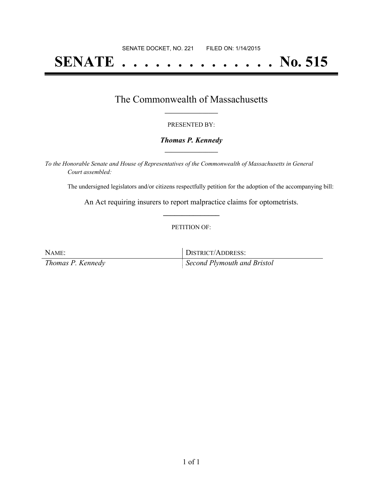# **SENATE . . . . . . . . . . . . . . No. 515**

## The Commonwealth of Massachusetts **\_\_\_\_\_\_\_\_\_\_\_\_\_\_\_\_\_**

#### PRESENTED BY:

#### *Thomas P. Kennedy* **\_\_\_\_\_\_\_\_\_\_\_\_\_\_\_\_\_**

*To the Honorable Senate and House of Representatives of the Commonwealth of Massachusetts in General Court assembled:*

The undersigned legislators and/or citizens respectfully petition for the adoption of the accompanying bill:

An Act requiring insurers to report malpractice claims for optometrists. **\_\_\_\_\_\_\_\_\_\_\_\_\_\_\_**

#### PETITION OF:

NAME: DISTRICT/ADDRESS: *Thomas P. Kennedy Second Plymouth and Bristol*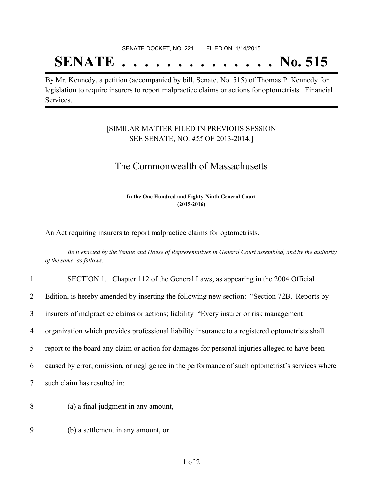# SENATE DOCKET, NO. 221 FILED ON: 1/14/2015 **SENATE . . . . . . . . . . . . . . No. 515**

# By Mr. Kennedy, a petition (accompanied by bill, Senate, No. 515) of Thomas P. Kennedy for legislation to require insurers to report malpractice claims or actions for optometrists. Financial

### [SIMILAR MATTER FILED IN PREVIOUS SESSION SEE SENATE, NO. *455* OF 2013-2014.]

# The Commonwealth of Massachusetts

**In the One Hundred and Eighty-Ninth General Court (2015-2016) \_\_\_\_\_\_\_\_\_\_\_\_\_\_\_**

**\_\_\_\_\_\_\_\_\_\_\_\_\_\_\_**

An Act requiring insurers to report malpractice claims for optometrists.

Be it enacted by the Senate and House of Representatives in General Court assembled, and by the authority *of the same, as follows:*

|                | SECTION 1. Chapter 112 of the General Laws, as appearing in the 2004 Official                    |
|----------------|--------------------------------------------------------------------------------------------------|
| $\overline{2}$ | Edition, is hereby amended by inserting the following new section: "Section 72B. Reports by      |
| 3              | insurers of malpractice claims or actions; liability "Every insurer or risk management           |
| $\overline{4}$ | organization which provides professional liability insurance to a registered optometrists shall  |
| 5              | report to the board any claim or action for damages for personal injuries alleged to have been   |
| 6              | caused by error, omission, or negligence in the performance of such optometrist's services where |
| $\tau$         | such claim has resulted in:                                                                      |
| 8              | (a) a final judgment in any amount,                                                              |

9 (b) a settlement in any amount, or

Services.